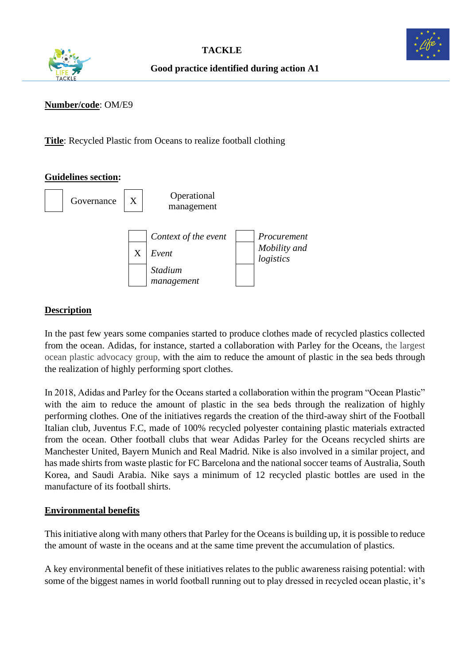



#### **Number/code**: OM/E9

**Title**: Recycled Plastic from Oceans to realize football clothing

#### **Guidelines section:**



## **Description**

In the past few years some companies started to produce clothes made of recycled plastics collected from the ocean. Adidas, for instance, started a collaboration with Parley for the Oceans, the largest ocean plastic advocacy group, with the aim to reduce the amount of plastic in the sea beds through the realization of highly performing sport clothes.

In 2018, Adidas and Parley for the Oceans started a collaboration within the program "Ocean Plastic" with the aim to reduce the amount of plastic in the sea beds through the realization of highly performing clothes. One of the initiatives regards the creation of the third-away shirt of the Football Italian club, Juventus F.C, made of 100% recycled polyester containing plastic materials extracted from the ocean. Other football clubs that wear Adidas Parley for the Oceans recycled shirts are Manchester United, Bayern Munich and Real Madrid. Nike is also involved in a similar project, and has made shirts from waste plastic for FC Barcelona and the national soccer teams of Australia, South Korea, and Saudi Arabia. Nike says a minimum of 12 recycled plastic bottles are used in the manufacture of its football shirts.

## **Environmental benefits**

This initiative along with many others that Parley for the Oceans is building up, it is possible to reduce the amount of waste in the oceans and at the same time prevent the accumulation of plastics.

A key environmental benefit of these initiatives relates to the public awareness raising potential: with some of the biggest names in world football running out to play dressed in recycled ocean plastic, it's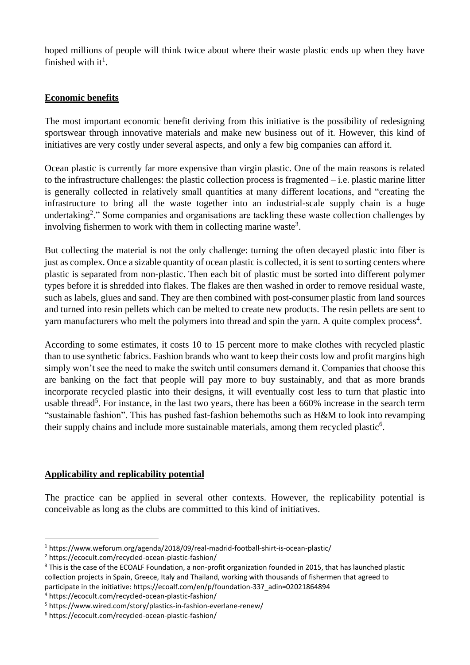hoped millions of people will think twice about where their waste plastic ends up when they have finished with it<sup>1</sup>.

# **Economic benefits**

The most important economic benefit deriving from this initiative is the possibility of redesigning sportswear through innovative materials and make new business out of it. However, this kind of initiatives are very costly under several aspects, and only a few big companies can afford it.

Ocean plastic is currently far more expensive than virgin plastic. One of the main reasons is related to the infrastructure challenges: the plastic collection process is fragmented – i.e. plastic marine litter is generally collected in relatively small quantities at many different locations, and "creating the infrastructure to bring all the waste together into an industrial-scale supply chain is a huge undertaking<sup>2</sup>." Some companies and organisations are tackling these waste collection challenges by involving fishermen to work with them in collecting marine waste<sup>3</sup>.

But collecting the material is not the only challenge: turning the often decayed plastic into fiber is just as complex. Once a sizable quantity of ocean plastic is collected, it is sent to sorting centers where plastic is separated from non-plastic. Then each bit of plastic must be sorted into different polymer types before it is shredded into flakes. The flakes are then washed in order to remove residual waste, such as labels, glues and sand. They are then combined with post-consumer plastic from land sources and turned into resin pellets which can be melted to create new products. The resin pellets are sent to yarn manufacturers who melt the polymers into thread and spin the yarn. A quite complex process<sup>4</sup>.

According to some estimates, it costs 10 to 15 percent more to make clothes with recycled plastic than to use synthetic fabrics. Fashion brands who want to keep their costs low and profit margins high simply won't see the need to make the switch until consumers demand it. Companies that choose this are banking on the fact that people will pay more to buy sustainably, and that as more brands incorporate recycled plastic into their designs, it will eventually cost less to turn that plastic into usable thread<sup>5</sup>. For instance, in the last two years, there has been a [660% increase](https://trends.google.com/trends/explore?date=today%205-y&q=sustainable%20fashion) in the search term "sustainable fashion". This has pushed fast-fashion behemoths such as H&M to look into revamping their supply chains and include more sustainable materials, [among them recycled plastic](https://www.wired.com/story/plastics-in-fashion-everlane-renew/)<sup>6</sup>.

## **Applicability and replicability potential**

The practice can be applied in several other contexts. However, the replicability potential is conceivable as long as the clubs are committed to this kind of initiatives.

<sup>4</sup> <https://ecocult.com/recycled-ocean-plastic-fashion/>

<sup>1</sup> <https://www.weforum.org/agenda/2018/09/real-madrid-football-shirt-is-ocean-plastic/>

<sup>2</sup> https://ecocult.com/recycled-ocean-plastic-fashion/

<sup>&</sup>lt;sup>3</sup> This is the case of the ECOALF Foundation, a non-profit organization founded in 2015, that has launched plastic collection projects in Spain, Greece, Italy and Thailand, working with thousands of fishermen that agreed to participate in the initiative: https://ecoalf.com/en/p/foundation-33?\_adin=02021864894

<sup>5</sup> <https://www.wired.com/story/plastics-in-fashion-everlane-renew/>

<sup>6</sup> https://ecocult.com/recycled-ocean-plastic-fashion/